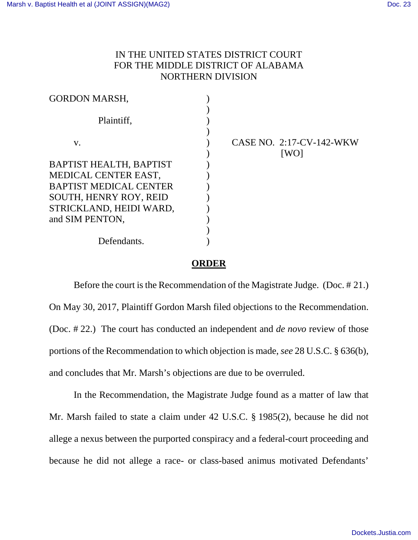## IN THE UNITED STATES DISTRICT COURT FOR THE MIDDLE DISTRICT OF ALABAMA NORTHERN DIVISION

| CASE NO. 2:17-CV-142-WKW<br>[WO] |
|----------------------------------|
|                                  |
|                                  |
|                                  |
|                                  |
|                                  |
|                                  |
|                                  |
|                                  |
|                                  |

## **ORDER**

Before the court is the Recommendation of the Magistrate Judge. (Doc. # 21.) On May 30, 2017, Plaintiff Gordon Marsh filed objections to the Recommendation. (Doc. # 22.) The court has conducted an independent and *de novo* review of those portions of the Recommendation to which objection is made, *see* 28 U.S.C. § 636(b), and concludes that Mr. Marsh's objections are due to be overruled.

In the Recommendation, the Magistrate Judge found as a matter of law that Mr. Marsh failed to state a claim under 42 U.S.C. § 1985(2), because he did not allege a nexus between the purported conspiracy and a federal-court proceeding and because he did not allege a race- or class-based animus motivated Defendants'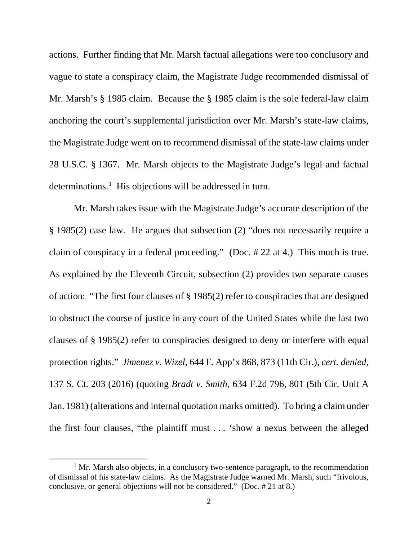actions. Further finding that Mr. Marsh factual allegations were too conclusory and vague to state a conspiracy claim, the Magistrate Judge recommended dismissal of Mr. Marsh's § 1985 claim. Because the § 1985 claim is the sole federal-law claim anchoring the court's supplemental jurisdiction over Mr. Marsh's state-law claims, the Magistrate Judge went on to recommend dismissal of the state-law claims under 28 U.S.C. § 1367. Mr. Marsh objects to the Magistrate Judge's legal and factual determinations.<sup>[1](#page-1-0)</sup> His objections will be addressed in turn.

Mr. Marsh takes issue with the Magistrate Judge's accurate description of the § 1985(2) case law. He argues that subsection (2) "does not necessarily require a claim of conspiracy in a federal proceeding." (Doc. # 22 at 4.) This much is true. As explained by the Eleventh Circuit, subsection (2) provides two separate causes of action: "The first four clauses of § 1985(2) refer to conspiracies that are designed to obstruct the course of justice in any court of the United States while the last two clauses of § 1985(2) refer to conspiracies designed to deny or interfere with equal protection rights." *Jimenez v. Wizel*, 644 F. App'x 868, 873 (11th Cir.), *cert. denied*, 137 S. Ct. 203 (2016) (quoting *Bradt v. Smith*, 634 F.2d 796, 801 (5th Cir. Unit A Jan. 1981) (alterations and internal quotation marks omitted). To bring a claim under the first four clauses, "the plaintiff must . . . 'show a nexus between the alleged

l

<span id="page-1-0"></span> $<sup>1</sup>$  Mr. Marsh also objects, in a conclusory two-sentence paragraph, to the recommendation</sup> of dismissal of his state-law claims. As the Magistrate Judge warned Mr. Marsh, such "frivolous, conclusive, or general objections will not be considered." (Doc. # 21 at 8.)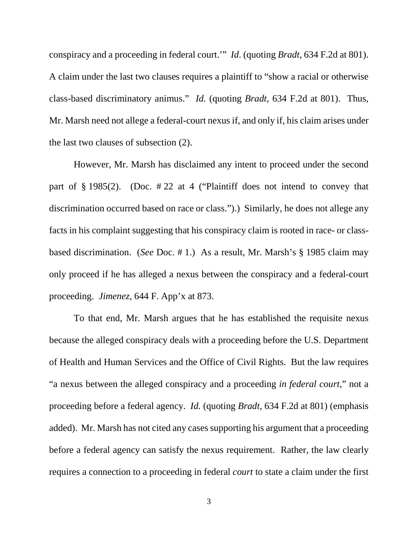conspiracy and a proceeding in federal court.'" *Id*. (quoting *Bradt*, 634 F.2d at 801). A claim under the last two clauses requires a plaintiff to "show a racial or otherwise class-based discriminatory animus." *Id.* (quoting *Bradt*, 634 F.2d at 801). Thus, Mr. Marsh need not allege a federal-court nexus if, and only if, his claim arises under the last two clauses of subsection (2).

However, Mr. Marsh has disclaimed any intent to proceed under the second part of § 1985(2). (Doc. # 22 at 4 ("Plaintiff does not intend to convey that discrimination occurred based on race or class.").) Similarly, he does not allege any facts in his complaint suggesting that his conspiracy claim is rooted in race- or classbased discrimination. (*See* Doc. # 1.) As a result, Mr. Marsh's § 1985 claim may only proceed if he has alleged a nexus between the conspiracy and a federal-court proceeding. *Jimenez*, 644 F. App'x at 873.

To that end, Mr. Marsh argues that he has established the requisite nexus because the alleged conspiracy deals with a proceeding before the U.S. Department of Health and Human Services and the Office of Civil Rights. But the law requires "a nexus between the alleged conspiracy and a proceeding *in federal court*," not a proceeding before a federal agency. *Id.* (quoting *Bradt*, 634 F.2d at 801) (emphasis added). Mr. Marsh has not cited any cases supporting his argument that a proceeding before a federal agency can satisfy the nexus requirement. Rather, the law clearly requires a connection to a proceeding in federal *court* to state a claim under the first